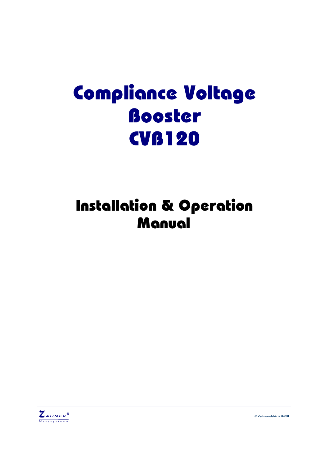# **Compliance Voltage** Booster **CVB120**

## **Installation & Operation** Manual



© Zahner-elektrik 04/08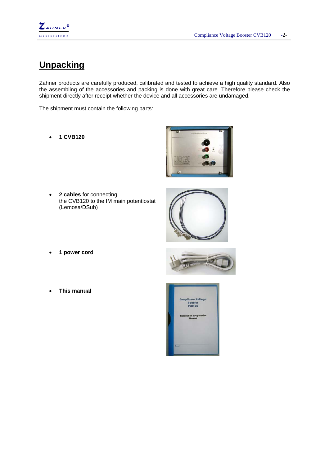

#### **Unpacking**

Zahner products are carefully produced, calibrated and tested to achieve a high quality standard. Also the assembling of the accessories and packing is done with great care. Therefore please check the shipment directly after receipt whether the device and all accessories are undamaged.

The shipment must contain the following parts:

• **1 CVB120** 



• **2 cables** for connecting the CVB120 to the IM main potentiostat (Lemosa/DSub)



- **1 power cord**
- **This manual**

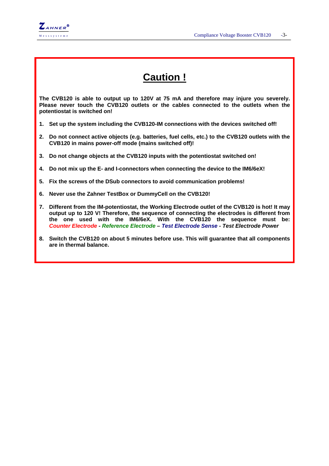

### **Caution !**

**The CVB120 is able to output up to 120V at 75 mA and therefore may injure you severely. Please never touch the CVB120 outlets or the cables connected to the outlets when the potentiostat is switched on!** 

- **1. Set up the system including the CVB120-IM connections with the devices switched off!**
- **2. Do not connect active objects (e.g. batteries, fuel cells, etc.) to the CVB120 outlets with the CVB120 in mains power-off mode (mains switched off)!**
- **3. Do not change objects at the CVB120 inputs with the potentiostat switched on!**
- **4. Do not mix up the E- and I-connectors when connecting the device to the IM6/6eX!**
- **5. Fix the screws of the DSub connectors to avoid communication problems!**
- **6. Never use the Zahner TestBox or DummyCell on the CVB120!**
- **7. Different from the IM-potentiostat, the Working Electrode outlet of the CVB120 is hot! It may output up to 120 V! Therefore, the sequence of connecting the electrodes is different from the one used with the IM6/6eX. With the CVB120 the sequence must be:**  *Counter Electrode - Reference Electrode – Test Electrode Sense - Test Electrode Power*
- **8. Switch the CVB120 on about 5 minutes before use. This will guarantee that all components are in thermal balance.**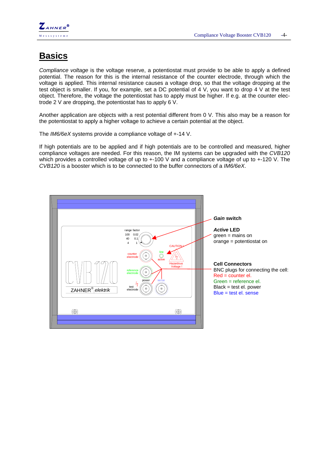

#### **Basics**

*Compliance voltage* is the voltage reserve, a potentiostat must provide to be able to apply a defined potential. The reason for this is the internal resistance of the counter electrode, through which the voltage is applied. This internal resistance causes a voltage drop, so that the voltage dropping at the test object is smaller. If you, for example, set a DC potential of  $4$  V, you want to drop  $4$  V at the test object. Therefore, the voltage the potentiostat has to apply must be higher. If e.g. at the counter electrode 2 V are dropping, the potentiostat has to apply 6 V.

Another application are objects with a rest potential different from 0 V. This also may be a reason for the potentiostat to apply a higher voltage to achieve a certain potential at the object.

The *IM6/6eX* systems provide a compliance voltage of +-14 V.

If high potentials are to be applied and if high potentials are to be controlled and measured, higher compliance voltages are needed. For this reason, the IM systems can be upgraded with the *CVB120* which provides a controlled voltage of up to  $+100$  V and a compliance voltage of up to  $+120$  V. The *CVB120* is a booster which is to be connected to the buffer connectors of a *IM6/6eX*.

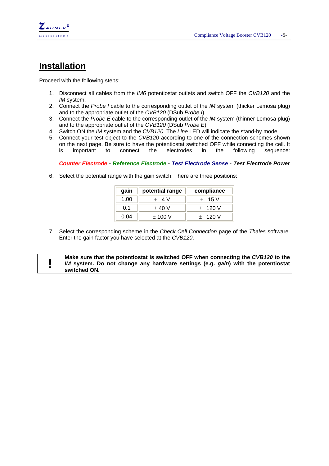

#### **Installation**

Proceed with the following steps:

- 1. Disconnect all cables from the *IM6* potentiostat outlets and switch OFF the *CVB120* and the *IM* system.
- 2. Connect the *Probe I* cable to the corresponding outlet of the *IM* system (thicker Lemosa plug) and to the appropriate outlet of the *CVB120* (DSub *Probe I*)
- 3. Connect the *Probe E* cable to the corresponding outlet of the *IM* system (thinner Lemosa plug) and to the appropriate outlet of the *CVB120* (DSub *Probe E*)
- 4. Switch ON the *IM* system and the *CVB120*. The *Line* LED will indicate the stand-by mode
- 5. Connect your test object to the *CVB120* according to one of the connection schemes shown on the next page. Be sure to have the potentiostat switched OFF while connecting the cell. It is important to connect the electrodes in the following sequence:

#### *Counter Electrode - Reference Electrode - Test Electrode Sense - Test Electrode Power*

6. Select the potential range with the gain switch. There are three positions:

| gain | potential range | compliance |
|------|-----------------|------------|
| 1.00 | $+$ 4 V         | $+$ 15 V   |
| 0.1  | $+40V$          | $+ 120 V$  |
| 0.04 | $\pm$ 100 V     | $+ 120 V$  |

7. Select the corresponding scheme in the *Check Cell Connection* page of the *Thales* software. Enter the gain factor you have selected at the *CVB120*.

**1 IM** axistem. Do not change any hardware settings (e.g. *gain*) with the potentiostat **IM** system. Do not change any hardware settings (e.g. *gain*) with the potentiostat *IM* **system. Do not change any hardware settings (e.g.** *gain***) with the potentiostat switched ON.**